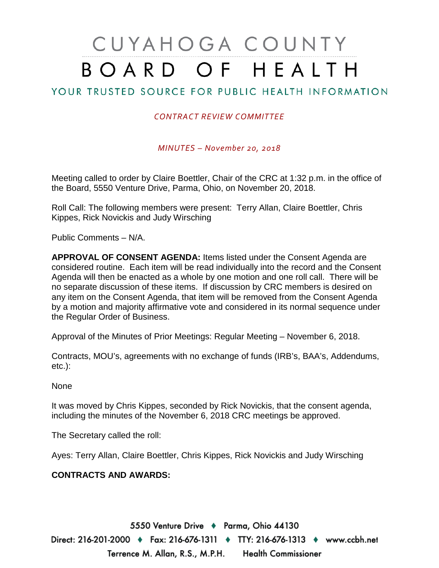# CUYAHOGA COUNTY BOARD OF HEALTH

## YOUR TRUSTED SOURCE FOR PUBLIC HEALTH INFORMATION

#### *CONTRACT REVIEW COMMITTEE*

*MINUTES – November 20, 2018*

Meeting called to order by Claire Boettler, Chair of the CRC at 1:32 p.m. in the office of the Board, 5550 Venture Drive, Parma, Ohio, on November 20, 2018.

Roll Call: The following members were present: Terry Allan, Claire Boettler, Chris Kippes, Rick Novickis and Judy Wirsching

Public Comments – N/A.

**APPROVAL OF CONSENT AGENDA:** Items listed under the Consent Agenda are considered routine. Each item will be read individually into the record and the Consent Agenda will then be enacted as a whole by one motion and one roll call. There will be no separate discussion of these items. If discussion by CRC members is desired on any item on the Consent Agenda, that item will be removed from the Consent Agenda by a motion and majority affirmative vote and considered in its normal sequence under the Regular Order of Business.

Approval of the Minutes of Prior Meetings: Regular Meeting – November 6, 2018.

Contracts, MOU's, agreements with no exchange of funds (IRB's, BAA's, Addendums, etc.):

None

It was moved by Chris Kippes, seconded by Rick Novickis, that the consent agenda, including the minutes of the November 6, 2018 CRC meetings be approved.

The Secretary called the roll:

Ayes: Terry Allan, Claire Boettler, Chris Kippes, Rick Novickis and Judy Wirsching

#### **CONTRACTS AND AWARDS:**

5550 Venture Drive + Parma, Ohio 44130

Direct: 216-201-2000 ♦ Fax: 216-676-1311 ♦ TTY: 216-676-1313 ♦ www.ccbh.net Terrence M. Allan, R.S., M.P.H. Health Commissioner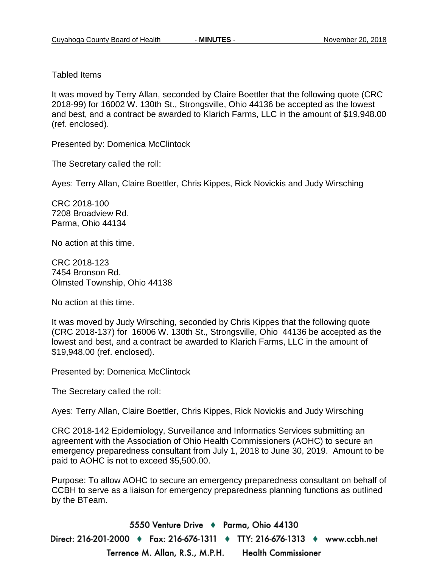#### Tabled Items

It was moved by Terry Allan, seconded by Claire Boettler that the following quote (CRC 2018-99) for 16002 W. 130th St., Strongsville, Ohio 44136 be accepted as the lowest and best, and a contract be awarded to Klarich Farms, LLC in the amount of \$19,948.00 (ref. enclosed).

Presented by: Domenica McClintock

The Secretary called the roll:

Ayes: Terry Allan, Claire Boettler, Chris Kippes, Rick Novickis and Judy Wirsching

CRC 2018-100 7208 Broadview Rd. Parma, Ohio 44134

No action at this time.

CRC 2018-123 7454 Bronson Rd. Olmsted Township, Ohio 44138

No action at this time.

It was moved by Judy Wirsching, seconded by Chris Kippes that the following quote (CRC 2018-137) for 16006 W. 130th St., Strongsville, Ohio 44136 be accepted as the lowest and best, and a contract be awarded to Klarich Farms, LLC in the amount of \$19,948.00 (ref. enclosed).

Presented by: Domenica McClintock

The Secretary called the roll:

Ayes: Terry Allan, Claire Boettler, Chris Kippes, Rick Novickis and Judy Wirsching

CRC 2018-142 Epidemiology, Surveillance and Informatics Services submitting an agreement with the Association of Ohio Health Commissioners (AOHC) to secure an emergency preparedness consultant from July 1, 2018 to June 30, 2019. Amount to be paid to AOHC is not to exceed \$5,500.00.

Purpose: To allow AOHC to secure an emergency preparedness consultant on behalf of CCBH to serve as a liaison for emergency preparedness planning functions as outlined by the BTeam.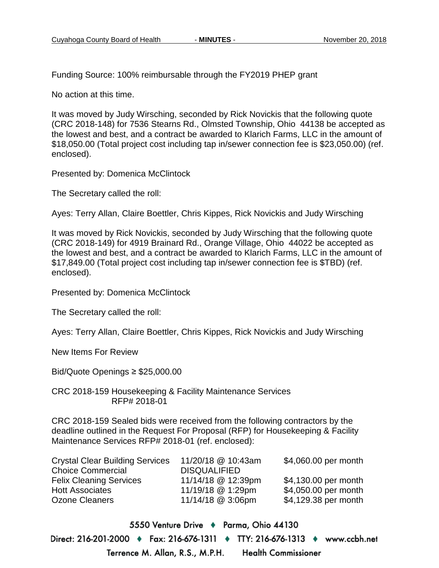Funding Source: 100% reimbursable through the FY2019 PHEP grant

No action at this time.

It was moved by Judy Wirsching, seconded by Rick Novickis that the following quote (CRC 2018-148) for 7536 Stearns Rd., Olmsted Township, Ohio 44138 be accepted as the lowest and best, and a contract be awarded to Klarich Farms, LLC in the amount of \$18,050.00 (Total project cost including tap in/sewer connection fee is \$23,050.00) (ref. enclosed).

Presented by: Domenica McClintock

The Secretary called the roll:

Ayes: Terry Allan, Claire Boettler, Chris Kippes, Rick Novickis and Judy Wirsching

It was moved by Rick Novickis, seconded by Judy Wirsching that the following quote (CRC 2018-149) for 4919 Brainard Rd., Orange Village, Ohio 44022 be accepted as the lowest and best, and a contract be awarded to Klarich Farms, LLC in the amount of \$17,849.00 (Total project cost including tap in/sewer connection fee is \$TBD) (ref. enclosed).

Presented by: Domenica McClintock

The Secretary called the roll:

Ayes: Terry Allan, Claire Boettler, Chris Kippes, Rick Novickis and Judy Wirsching

New Items For Review

Bid/Quote Openings ≥ \$25,000.00

CRC 2018-159 Housekeeping & Facility Maintenance Services RFP# 2018-01

CRC 2018-159 Sealed bids were received from the following contractors by the deadline outlined in the Request For Proposal (RFP) for Housekeeping & Facility Maintenance Services RFP# 2018-01 (ref. enclosed):

| <b>Crystal Clear Building Services</b> | 11/20/18 @ 10:43am  | \$4,060.00 per month |
|----------------------------------------|---------------------|----------------------|
| <b>Choice Commercial</b>               | <b>DISQUALIFIED</b> |                      |
| <b>Felix Cleaning Services</b>         | 11/14/18 @ 12:39pm  | \$4,130.00 per month |
| <b>Hott Associates</b>                 | 11/19/18 @ 1:29pm   | \$4,050.00 per month |
| Ozone Cleaners                         | 11/14/18 @ 3:06pm   | \$4,129.38 per month |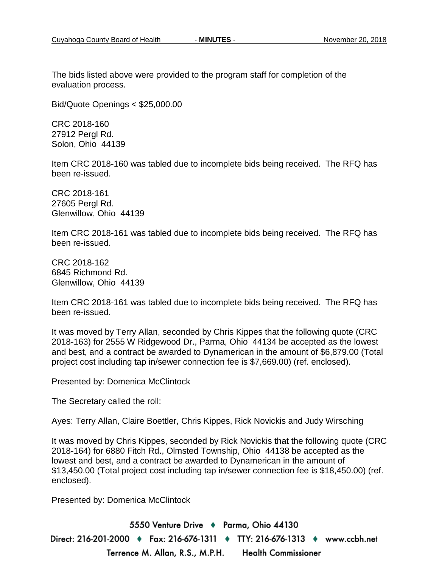The bids listed above were provided to the program staff for completion of the evaluation process.

Bid/Quote Openings < \$25,000.00

CRC 2018-160 27912 Pergl Rd. Solon, Ohio 44139

Item CRC 2018-160 was tabled due to incomplete bids being received. The RFQ has been re-issued.

CRC 2018-161 27605 Pergl Rd. Glenwillow, Ohio 44139

Item CRC 2018-161 was tabled due to incomplete bids being received. The RFQ has been re-issued.

CRC 2018-162 6845 Richmond Rd. Glenwillow, Ohio 44139

Item CRC 2018-161 was tabled due to incomplete bids being received. The RFQ has been re-issued.

It was moved by Terry Allan, seconded by Chris Kippes that the following quote (CRC 2018-163) for 2555 W Ridgewood Dr., Parma, Ohio 44134 be accepted as the lowest and best, and a contract be awarded to Dynamerican in the amount of \$6,879.00 (Total project cost including tap in/sewer connection fee is \$7,669.00) (ref. enclosed).

Presented by: Domenica McClintock

The Secretary called the roll:

Ayes: Terry Allan, Claire Boettler, Chris Kippes, Rick Novickis and Judy Wirsching

It was moved by Chris Kippes, seconded by Rick Novickis that the following quote (CRC 2018-164) for 6880 Fitch Rd., Olmsted Township, Ohio 44138 be accepted as the lowest and best, and a contract be awarded to Dynamerican in the amount of \$13,450.00 (Total project cost including tap in/sewer connection fee is \$18,450.00) (ref. enclosed).

Presented by: Domenica McClintock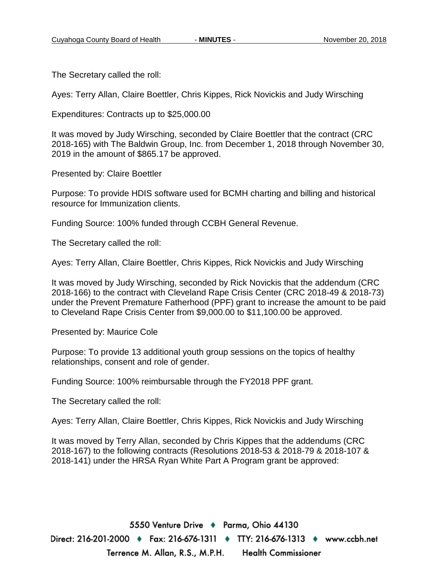The Secretary called the roll:

Ayes: Terry Allan, Claire Boettler, Chris Kippes, Rick Novickis and Judy Wirsching

Expenditures: Contracts up to \$25,000.00

It was moved by Judy Wirsching, seconded by Claire Boettler that the contract (CRC 2018-165) with The Baldwin Group, Inc. from December 1, 2018 through November 30, 2019 in the amount of \$865.17 be approved.

Presented by: Claire Boettler

Purpose: To provide HDIS software used for BCMH charting and billing and historical resource for Immunization clients.

Funding Source: 100% funded through CCBH General Revenue.

The Secretary called the roll:

Ayes: Terry Allan, Claire Boettler, Chris Kippes, Rick Novickis and Judy Wirsching

It was moved by Judy Wirsching, seconded by Rick Novickis that the addendum (CRC 2018-166) to the contract with Cleveland Rape Crisis Center (CRC 2018-49 & 2018-73) under the Prevent Premature Fatherhood (PPF) grant to increase the amount to be paid to Cleveland Rape Crisis Center from \$9,000.00 to \$11,100.00 be approved.

Presented by: Maurice Cole

Purpose: To provide 13 additional youth group sessions on the topics of healthy relationships, consent and role of gender.

Funding Source: 100% reimbursable through the FY2018 PPF grant.

The Secretary called the roll:

Ayes: Terry Allan, Claire Boettler, Chris Kippes, Rick Novickis and Judy Wirsching

It was moved by Terry Allan, seconded by Chris Kippes that the addendums (CRC 2018-167) to the following contracts (Resolutions 2018-53 & 2018-79 & 2018-107 & 2018-141) under the HRSA Ryan White Part A Program grant be approved: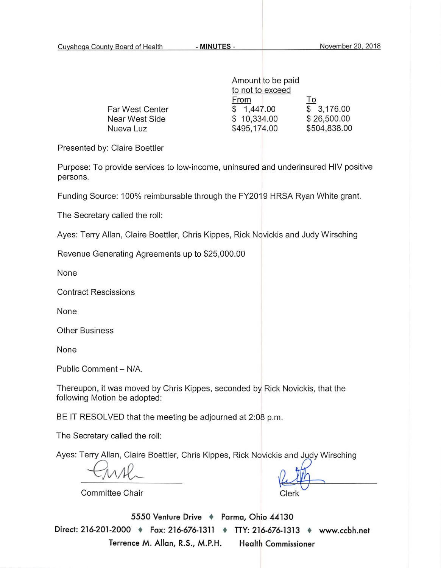|                 | Amount to be paid |              |
|-----------------|-------------------|--------------|
|                 | to not to exceed  |              |
|                 | From              | <u>lo</u>    |
| Far West Center | 1,447.00          | \$3,176.00   |
| Near West Side  | \$10,334.00       | \$26,500.00  |
| Nueva Luz       | \$495,174.00      | \$504,838.00 |

Presented by: Claire Boettler

Purpose: To provide services to low-income, uninsured and underinsured HIV positive persons.

Funding Source: 100% reimbursable through the FY2019 HRSA Ryan White grant.

The Secretary called the roll:

Ayes: Terry Allan, Claire Boettler, Chris Kippes, Rick Novickis and Judy Wirsching

Revenue Generating Agreements up to \$25,000.00

None

**Contract Rescissions** 

None

**Other Business** 

None

Public Comment - N/A.

Thereupon, it was moved by Chris Kippes, seconded by Rick Novickis, that the following Motion be adopted:

BE IT RESOLVED that the meeting be adjourned at 2:08 p.m.

The Secretary called the roll:

Ayes: Terry Allan, Claire Boettler, Chris Kippes, Rick Novickis and Judy Wirsching

Clerk

**Committee Chair**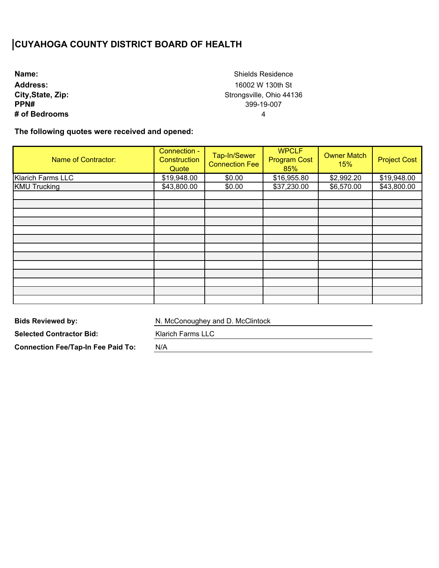**Name: Address: City,State, Zip: PPN# # of Bedrooms**

Shields Residence 16002 W 130th St Strongsville, Ohio 44136 399-19-007 4

**The following quotes were received and opened:** 

| <b>Name of Contractor:</b> | Connection -<br>Construction<br>Quote | Tap-In/Sewer<br><b>Connection Fee</b> | <b>WPCLF</b><br><b>Program Cost</b><br>85% | <b>Owner Match</b><br>15% | <b>Project Cost</b> |
|----------------------------|---------------------------------------|---------------------------------------|--------------------------------------------|---------------------------|---------------------|
| Klarich Farms LLC          | \$19,948.00                           | \$0.00                                | \$16,955.80                                | \$2,992.20                | \$19,948.00         |
| <b>KMU Trucking</b>        | \$43,800.00                           | \$0.00                                | \$37,230.00                                | \$6,570.00                | \$43,800.00         |
|                            |                                       |                                       |                                            |                           |                     |
|                            |                                       |                                       |                                            |                           |                     |
|                            |                                       |                                       |                                            |                           |                     |
|                            |                                       |                                       |                                            |                           |                     |
|                            |                                       |                                       |                                            |                           |                     |
|                            |                                       |                                       |                                            |                           |                     |
|                            |                                       |                                       |                                            |                           |                     |
|                            |                                       |                                       |                                            |                           |                     |
|                            |                                       |                                       |                                            |                           |                     |
|                            |                                       |                                       |                                            |                           |                     |
|                            |                                       |                                       |                                            |                           |                     |
|                            |                                       |                                       |                                            |                           |                     |
|                            |                                       |                                       |                                            |                           |                     |

**Bids Reviewed by:** 

N. McConoughey and D. McClintock

**Selected Contractor Bid:** 

**Connection Fee/Tap-In Fee Paid To:** 

Klarich Farms LLC

N/A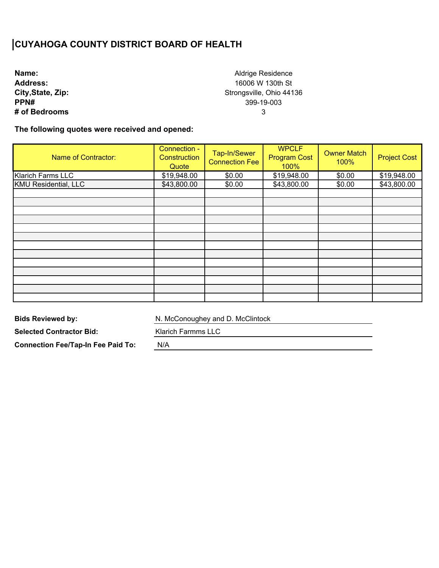**Name: Address: City,State, Zip: PPN# # of Bedrooms**

Aldrige Residence 16006 W 130th St Strongsville, Ohio 44136 399-19-003 3

**The following quotes were received and opened:** 

| Name of Contractor:         | Connection -<br>Construction<br>Quote | Tap-In/Sewer<br><b>Connection Fee</b> | <b>WPCLF</b><br><b>Program Cost</b><br>100% | <b>Owner Match</b><br>100% | <b>Project Cost</b> |
|-----------------------------|---------------------------------------|---------------------------------------|---------------------------------------------|----------------------------|---------------------|
| <b>Klarich Farms LLC</b>    | \$19,948.00                           | \$0.00                                | \$19,948.00                                 | \$0.00                     | \$19,948.00         |
| <b>KMU Residential, LLC</b> | \$43,800.00                           | \$0.00                                | \$43,800.00                                 | \$0.00                     | \$43,800.00         |
|                             |                                       |                                       |                                             |                            |                     |
|                             |                                       |                                       |                                             |                            |                     |
|                             |                                       |                                       |                                             |                            |                     |
|                             |                                       |                                       |                                             |                            |                     |
|                             |                                       |                                       |                                             |                            |                     |
|                             |                                       |                                       |                                             |                            |                     |
|                             |                                       |                                       |                                             |                            |                     |
|                             |                                       |                                       |                                             |                            |                     |
|                             |                                       |                                       |                                             |                            |                     |
|                             |                                       |                                       |                                             |                            |                     |
|                             |                                       |                                       |                                             |                            |                     |
|                             |                                       |                                       |                                             |                            |                     |
|                             |                                       |                                       |                                             |                            |                     |

**Bids Reviewed by:** 

N. McConoughey and D. McClintock

**Selected Contractor Bid:** 

Klarich Farmms LLC

**Connection Fee/Tap-In Fee Paid To:** 

N/A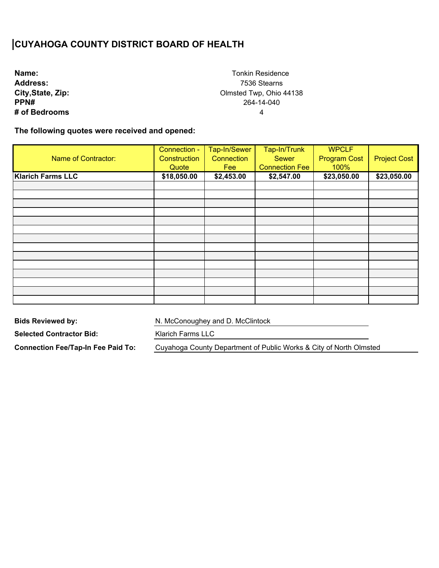| Name:             |
|-------------------|
| <b>Address:</b>   |
| City, State, Zip: |
| PPN#              |
| # of Bedrooms     |

Tonkin Residence 7536 Stearns Olmsted Twp, Ohio 44138 264-14-040 4

**The following quotes were received and opened:** 

| <b>Name of Contractor:</b> | Connection -<br>Construction | Tap-In/Sewer<br>Connection | Tap-In/Trunk<br><b>Sewer</b> | <b>WPCLF</b><br><b>Program Cost</b> | <b>Project Cost</b> |
|----------------------------|------------------------------|----------------------------|------------------------------|-------------------------------------|---------------------|
|                            | Quote                        | Fee                        | <b>Connection Fee</b>        | 100%                                |                     |
| <b>Klarich Farms LLC</b>   | \$18,050.00                  | \$2,453.00                 | \$2,547.00                   | \$23,050.00                         | \$23,050.00         |
|                            |                              |                            |                              |                                     |                     |
|                            |                              |                            |                              |                                     |                     |
|                            |                              |                            |                              |                                     |                     |
|                            |                              |                            |                              |                                     |                     |
|                            |                              |                            |                              |                                     |                     |
|                            |                              |                            |                              |                                     |                     |
|                            |                              |                            |                              |                                     |                     |
|                            |                              |                            |                              |                                     |                     |
|                            |                              |                            |                              |                                     |                     |
|                            |                              |                            |                              |                                     |                     |
|                            |                              |                            |                              |                                     |                     |
|                            |                              |                            |                              |                                     |                     |
|                            |                              |                            |                              |                                     |                     |
|                            |                              |                            |                              |                                     |                     |

**Bids Reviewed by:** 

N. McConoughey and D. McClintock

**Selected Contractor Bid:** 

**Connection Fee/Tap-In Fee Paid To:** 

Klarich Farms LLC

Cuyahoga County Department of Public Works & City of North Olmsted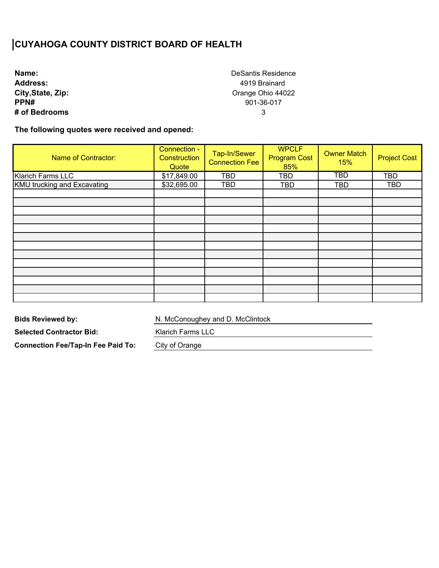| Name:             |
|-------------------|
| <b>Address:</b>   |
| City, State, Zip: |
| PPN#              |
| # of Bedrooms     |

DeSantis Residence 4919 Brainard Orange Ohio 44022 901-36-017 3

**The following quotes were received and opened:** 

| <b>Name of Contractor:</b>         | Connection -<br>Construction<br>Quote | Tap-In/Sewer<br><b>Connection Fee</b> | <b>WPCLF</b><br><b>Program Cost</b><br>85% | <b>Owner Match</b><br>15% | <b>Project Cost</b> |
|------------------------------------|---------------------------------------|---------------------------------------|--------------------------------------------|---------------------------|---------------------|
| <b>Klarich Farms LLC</b>           | \$17,849.00                           | <b>TBD</b>                            | TBD                                        | $\overline{\text{TBD}}$   | <b>TBD</b>          |
| <b>KMU trucking and Excavating</b> | \$32,695.00                           | TBD                                   | TBD                                        | <b>TBD</b>                | <b>TBD</b>          |
|                                    |                                       |                                       |                                            |                           |                     |
|                                    |                                       |                                       |                                            |                           |                     |
|                                    |                                       |                                       |                                            |                           |                     |
|                                    |                                       |                                       |                                            |                           |                     |
|                                    |                                       |                                       |                                            |                           |                     |
|                                    |                                       |                                       |                                            |                           |                     |
|                                    |                                       |                                       |                                            |                           |                     |
|                                    |                                       |                                       |                                            |                           |                     |
|                                    |                                       |                                       |                                            |                           |                     |
|                                    |                                       |                                       |                                            |                           |                     |
|                                    |                                       |                                       |                                            |                           |                     |
|                                    |                                       |                                       |                                            |                           |                     |
|                                    |                                       |                                       |                                            |                           |                     |

**Bids Reviewed by:** 

N. McConoughey and D. McClintock

**Selected Contractor Bid:** 

Klarich Farms LLC

**Connection Fee/Tap-In Fee Paid To:** 

City of Orange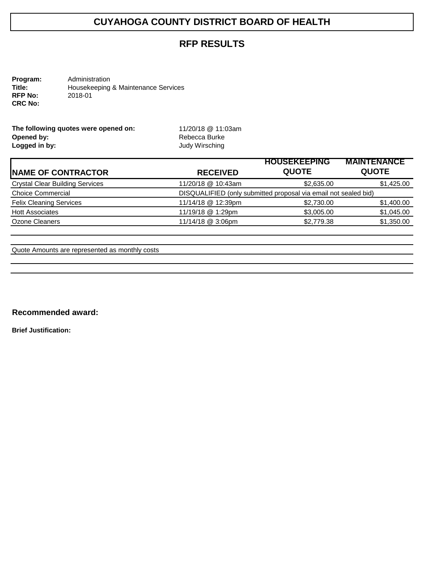### **RFP RESULTS**

**Program:** Administration<br> **Title:** Housekeeping **Title:** Housekeeping & Maintenance Services<br>
RFP No: 2018-01 **RFP No:** 2018-01 **CRC No:** 

| The following quotes were opened on: |  |
|--------------------------------------|--|
| Opened by:                           |  |
| Logged in by:                        |  |

**The following quotes were opened on:** 11/20/18 @ 11:03am **Opened by:** Rebecca Burke **Logged in by:** Judy Wirsching

|                    | <b>HOUSEKEEPING</b> | <b>MAINTENANCE</b>                                              |
|--------------------|---------------------|-----------------------------------------------------------------|
| <b>RECEIVED</b>    | <b>QUOTE</b>        | <b>QUOTE</b>                                                    |
| 11/20/18 @ 10:43am | \$2,635.00          | \$1,425.00                                                      |
|                    |                     |                                                                 |
| 11/14/18 @ 12:39pm | \$2,730.00          | \$1,400.00                                                      |
| 11/19/18 @ 1:29pm  | \$3,005.00          | \$1,045.00                                                      |
| 11/14/18 @ 3:06pm  | \$2,779.38          | \$1,350.00                                                      |
|                    |                     | DISQUALIFIED (only submitted proposal via email not sealed bid) |

Quote Amounts are represented as monthly costs

**Recommended award:** 

**Brief Justification:**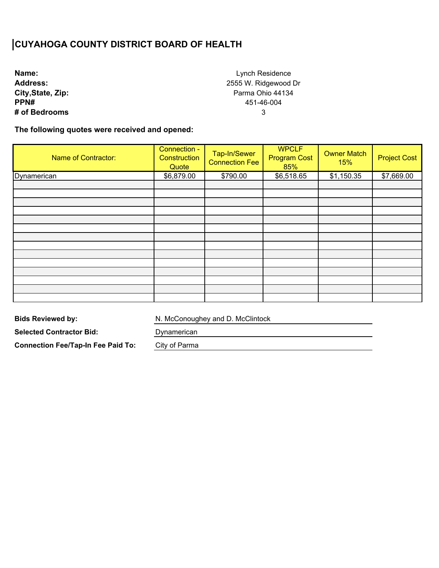**Name: Address: City,State, Zip: PPN# # of Bedrooms**

Lynch Residence 2555 W. Ridgewood Dr Parma Ohio 44134 451-46-004 3

**The following quotes were received and opened:** 

| Name of Contractor: | Connection -<br>Construction<br>Quote | Tap-In/Sewer<br><b>Connection Fee</b> | <b>WPCLF</b><br><b>Program Cost</b><br>85% | <b>Owner Match</b><br>15% | <b>Project Cost</b> |
|---------------------|---------------------------------------|---------------------------------------|--------------------------------------------|---------------------------|---------------------|
| Dynamerican         | \$6,879.00                            | \$790.00                              | \$6,518.65                                 | \$1,150.35                | \$7,669.00          |
|                     |                                       |                                       |                                            |                           |                     |
|                     |                                       |                                       |                                            |                           |                     |
|                     |                                       |                                       |                                            |                           |                     |
|                     |                                       |                                       |                                            |                           |                     |
|                     |                                       |                                       |                                            |                           |                     |
|                     |                                       |                                       |                                            |                           |                     |
|                     |                                       |                                       |                                            |                           |                     |
|                     |                                       |                                       |                                            |                           |                     |
|                     |                                       |                                       |                                            |                           |                     |
|                     |                                       |                                       |                                            |                           |                     |
|                     |                                       |                                       |                                            |                           |                     |
|                     |                                       |                                       |                                            |                           |                     |
|                     |                                       |                                       |                                            |                           |                     |

**Bids Reviewed by:** 

N. McConoughey and D. McClintock

**Selected Contractor Bid:** 

Dynamerican

**Connection Fee/Tap-In Fee Paid To:** 

City of Parma